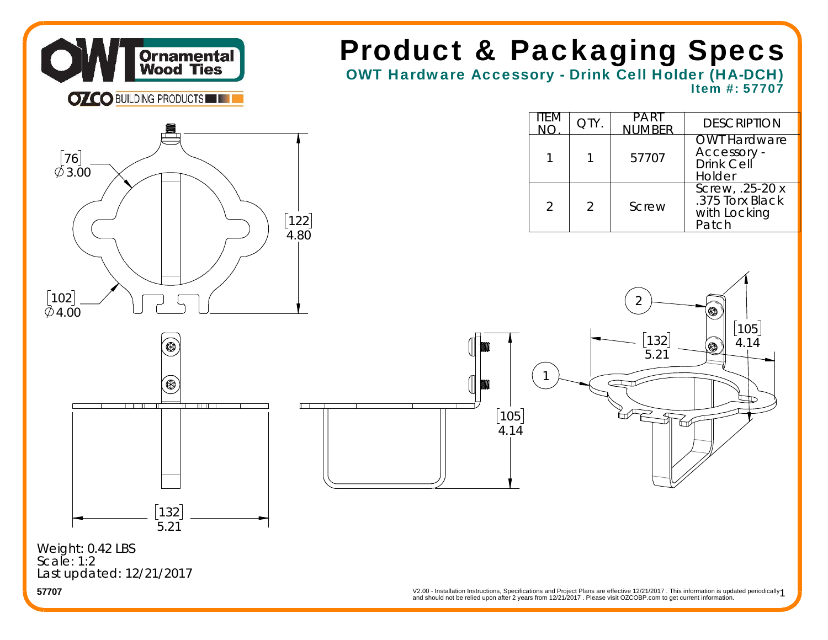

# Product & Packaging Specs

OWT Hardware Accessory - Drink Cell Holder (HA-DCH) Item #: 57707

1

|     | item<br><b>NO</b> | <b>QTY</b> | <b>PART</b><br><b>NUMBER</b> | <b>DESCRIPTION</b>                                           |
|-----|-------------------|------------|------------------------------|--------------------------------------------------------------|
|     |                   |            | 57707                        | <b>OWT Hardware</b><br>Accessory -<br>Drink Cell<br>Holder   |
| 122 |                   |            | Screw                        | Screw, $.25-20x$<br>.375 Torx Black<br>with Locking<br>Patch |



132 5.21





Last updated: 12/21/2017 **57707**Weight: 0.42 LBS Scale: 1:2

V2.00 - Installation Instructions, Specifications and Project Plans are effective 12/21/2017 . This information is updated periodically 1<br>and should not be relied upon after 2 years from 12/21/2017 . Please visit OZCOBP.co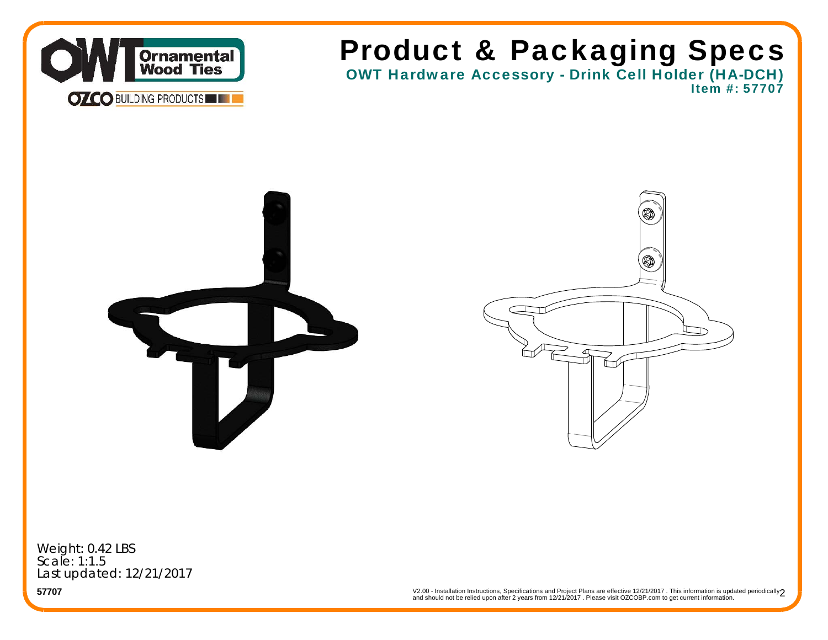

## Product & Packaging Specs

OWT Hardware Accessory - Drink Cell Holder (HA-DCH) Item #: 57707





Weight: 0.42 LBS Scale: 1:1.5Last updated: 12/21/2017

V2.00 - Installation Instructions, Specifications and Project Plans are effective 12/21/2017 . This information is updated periodically $\bf 2$ <br>and should not be relied upon after 2 years from 12/21/2017 . Please visit OZCOB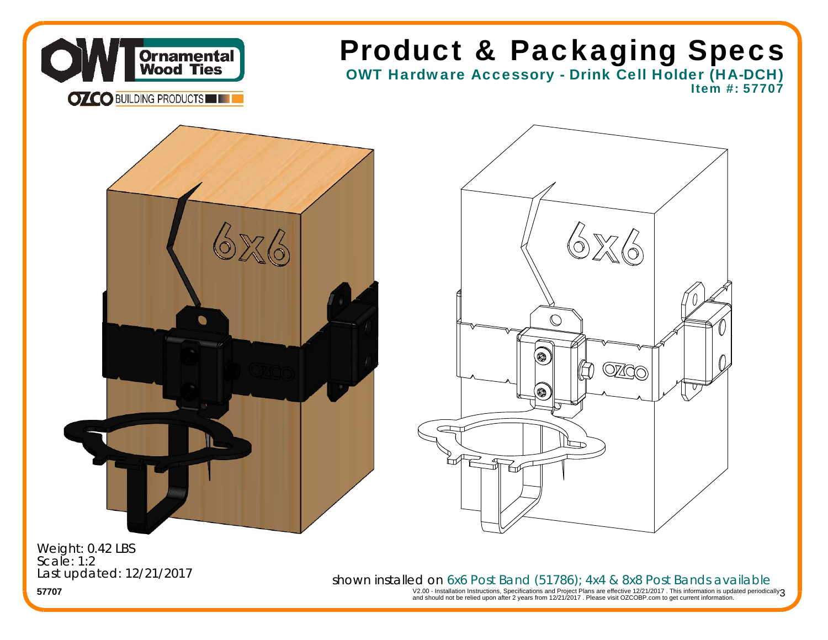

**57707**Weight: 0.42 LBS Scale: 1:2Last updated: 12/21/2017

V2.00 - Installation Instructions, Specifications and Project Plans are effective 12/21/2017 . This information is updated periodically $\mathfrak z$ <br>and should not be relied upon after 2 years from 12/21/2017 . Please visit OZCO shown installed on 6x6 Post Band (51786); 4x4 & 8x8 Post Bands available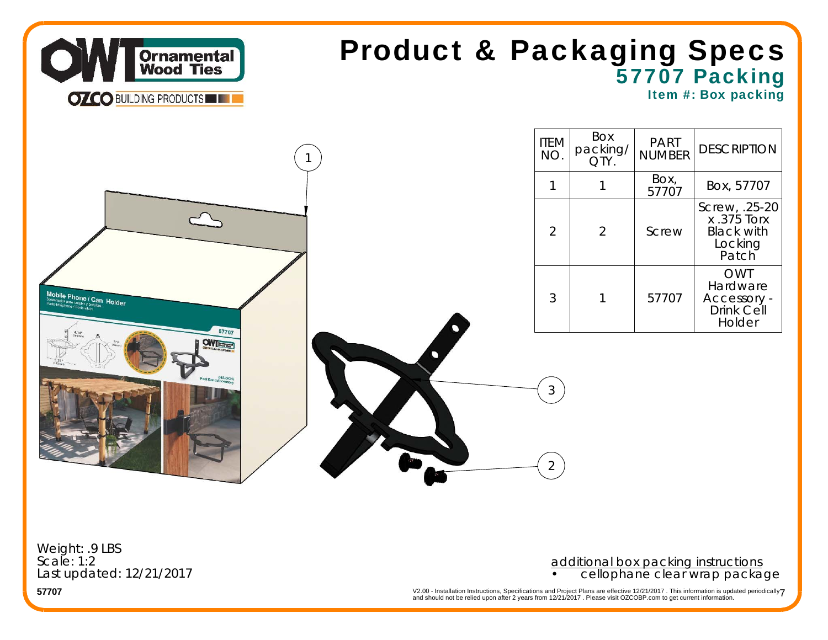

## 57707 Packing Product & Packaging Specs

Item #: Box packing



Weight: .9 LBS Scale: 1:2Last updated: 12/21/2017

### additional box packing instructions • cellophane clear wrap package

V2.00 - Installation Instructions, Specifications and Project Plans are effective 12/21/2017 . This information is updated periodically $7$ <br>and should not be relied upon after 2 years from 12/21/2017 . Please visit OZCOBP.c

**57707**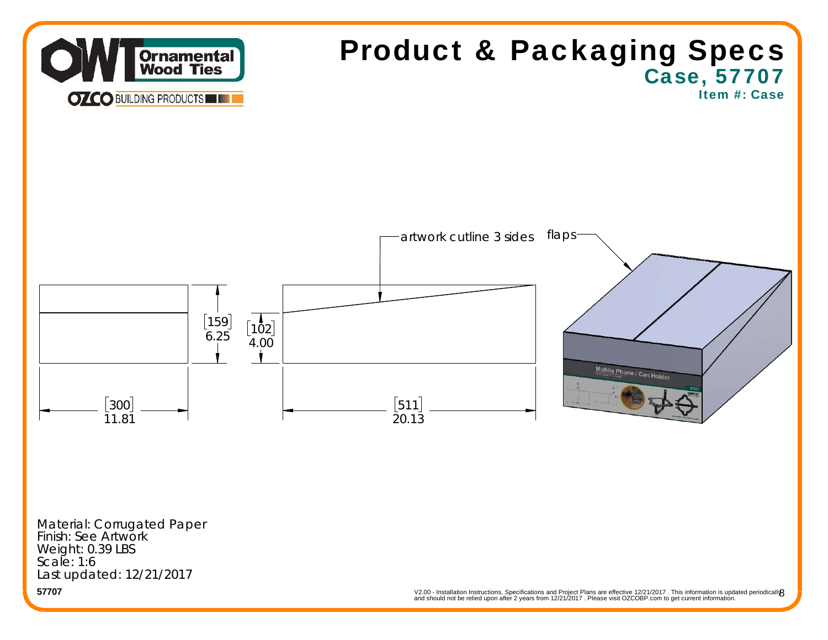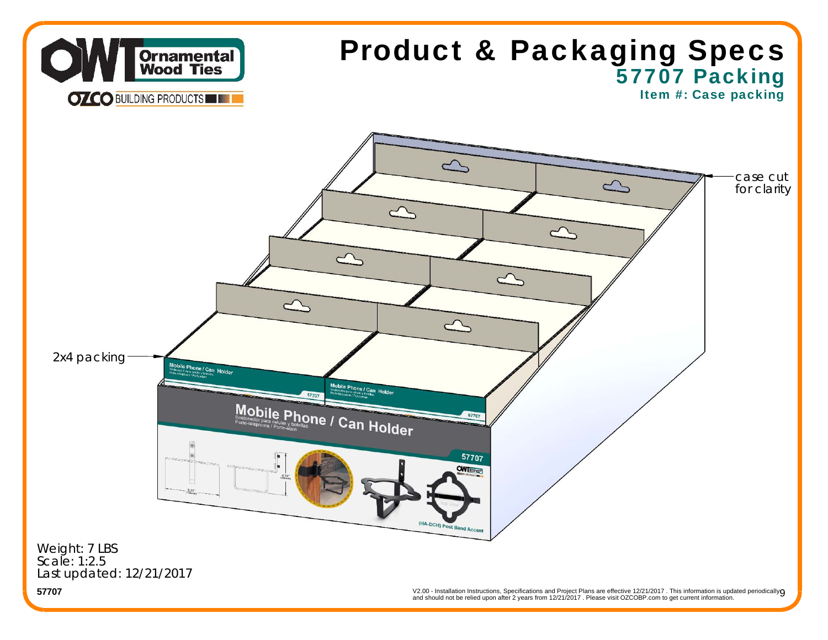

V2.00 - Installation Instructions, Specifications and Project Plans are effective 12/21/2017 . This information is updated periodically**O**<br>and should not be relied upon after 2 years from 12/21/2017 . Please visit OZCOBP.c